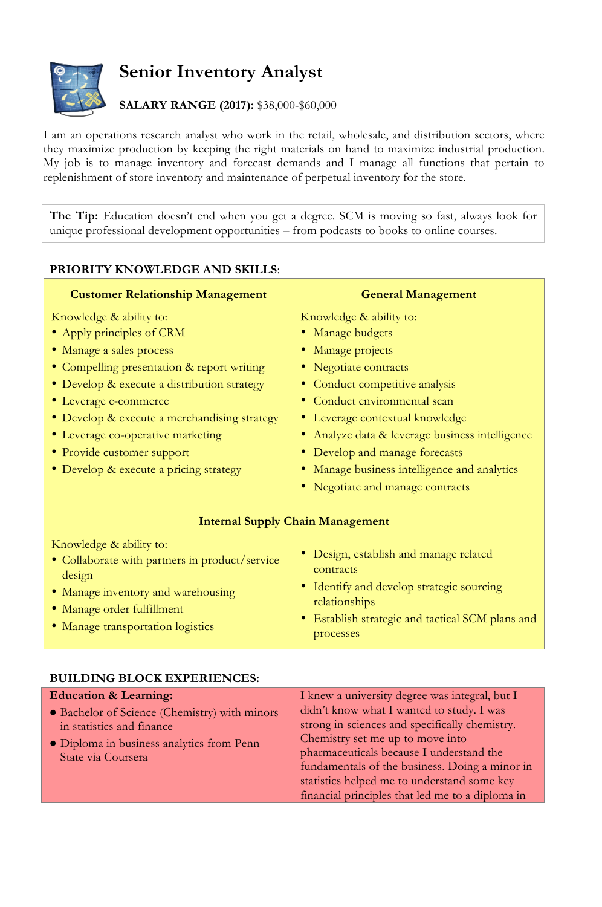

**Senior Inventory Analyst**

## **SALARY RANGE (2017):** \$38,000-\$60,000

I am an operations research analyst who work in the retail, wholesale, and distribution sectors, where they maximize production by keeping the right materials on hand to maximize industrial production. My job is to manage inventory and forecast demands and I manage all functions that pertain to replenishment of store inventory and maintenance of perpetual inventory for the store.

**The Tip:** Education doesn't end when you get a degree. SCM is moving so fast, always look for unique professional development opportunities – from podcasts to books to online courses.

## **PRIORITY KNOWLEDGE AND SKILLS**:

| <b>Customer Relationship Management</b>                                                                                                                                                                                                                                                                                                                             | <b>General Management</b>                                                                                                                                                                                                                                                                                                                                               |
|---------------------------------------------------------------------------------------------------------------------------------------------------------------------------------------------------------------------------------------------------------------------------------------------------------------------------------------------------------------------|-------------------------------------------------------------------------------------------------------------------------------------------------------------------------------------------------------------------------------------------------------------------------------------------------------------------------------------------------------------------------|
| Knowledge & ability to:<br>• Apply principles of CRM<br>• Manage a sales process<br>• Compelling presentation & report writing<br>· Develop & execute a distribution strategy<br>• Leverage e-commerce<br>• Develop & execute a merchandising strategy<br>• Leverage co-operative marketing<br>• Provide customer support<br>• Develop & execute a pricing strategy | Knowledge & ability to:<br>• Manage budgets<br>• Manage projects<br>• Negotiate contracts<br>• Conduct competitive analysis<br>• Conduct environmental scan<br>• Leverage contextual knowledge<br>• Analyze data & leverage business intelligence<br>• Develop and manage forecasts<br>• Manage business intelligence and analytics<br>• Negotiate and manage contracts |
| Knowledge & ability to:<br>• Collaborate with partners in product/service<br>design<br>• Manage inventory and warehousing<br>• Manage order fulfillment<br>· Manage transportation logistics                                                                                                                                                                        | <b>Internal Supply Chain Management</b><br>• Design, establish and manage related<br>contracts<br>• Identify and develop strategic sourcing<br>relationships<br>Establish strategic and tactical SCM plans and<br>processes                                                                                                                                             |

| <b>Education &amp; Learning:</b>                                                                                                              | I knew a university degree was integral, but I                                                                                                                                                                                                                                                                                   |
|-----------------------------------------------------------------------------------------------------------------------------------------------|----------------------------------------------------------------------------------------------------------------------------------------------------------------------------------------------------------------------------------------------------------------------------------------------------------------------------------|
| • Bachelor of Science (Chemistry) with minors<br>in statistics and finance<br>• Diploma in business analytics from Penn<br>State via Coursera | didn't know what I wanted to study. I was<br>strong in sciences and specifically chemistry.<br>Chemistry set me up to move into<br>pharmaceuticals because I understand the<br>fundamentals of the business. Doing a minor in<br>statistics helped me to understand some key<br>financial principles that led me to a diploma in |

## **BUILDING BLOCK EXPERIENCES:**